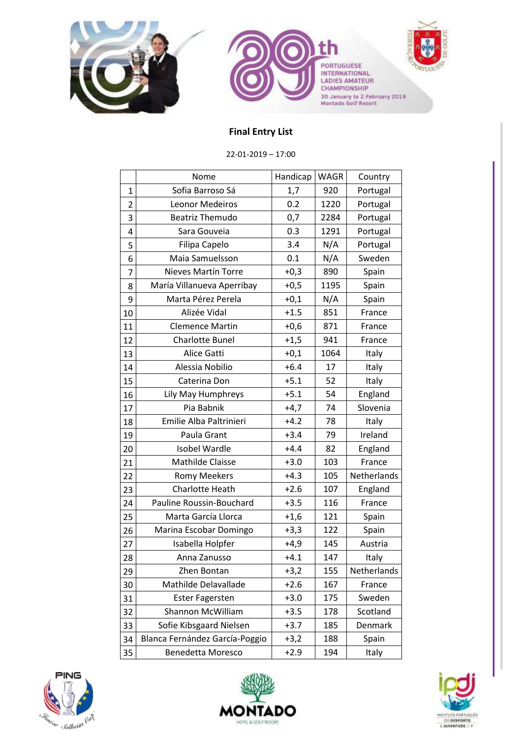



PORTUGUESE<br>INTERNATIONAL<br>LADIES AMATEUR<br>CHAMPIONSHIP 30 January to 2 February 2019<br>Montado Golf Resort



## **Final Entry List**

22-01-2019 – 17:00

|                | Nome                           | Handicap | <b>WAGR</b> | Country     |
|----------------|--------------------------------|----------|-------------|-------------|
| $\mathbf{1}$   | Sofia Barroso Sá               | 1,7      | 920         | Portugal    |
| $\overline{2}$ | Leonor Medeiros                | 0.2      | 1220        | Portugal    |
| 3              | <b>Beatriz Themudo</b>         | 0,7      | 2284        | Portugal    |
| 4              | Sara Gouveia                   | 0.3      | 1291        | Portugal    |
| 5              | Filipa Capelo                  | 3.4      | N/A         | Portugal    |
| 6              | Maia Samuelsson                | 0.1      | N/A         | Sweden      |
| 7              | <b>Nieves Martín Torre</b>     | $+0,3$   | 890         | Spain       |
| 8              | María Villanueva Aperribay     | $+0,5$   | 1195        | Spain       |
| 9              | Marta Pérez Perela             | $+0,1$   | N/A         | Spain       |
| 10             | Alizée Vidal                   | $+1.5$   | 851         | France      |
| 11             | <b>Clemence Martin</b>         | $+0,6$   | 871         | France      |
| 12             | Charlotte Bunel                | $+1,5$   | 941         | France      |
| 13             | Alice Gatti                    | $+0,1$   | 1064        | Italy       |
| 14             | Alessia Nobilio                | $+6.4$   | 17          | Italy       |
| 15             | Caterina Don                   | $+5.1$   | 52          | Italy       |
| 16             | Lily May Humphreys             | $+5.1$   | 54          | England     |
| 17             | Pia Babnik                     | $+4,7$   | 74          | Slovenia    |
| 18             | Emilie Alba Paltrinieri        | $+4.2$   | 78          | Italy       |
| 19             | Paula Grant                    | $+3.4$   | 79          | Ireland     |
| 20             | Isobel Wardle                  | $+4.4$   | 82          | England     |
| 21             | Mathilde Claisse               | $+3.0$   | 103         | France      |
| 22             | <b>Romy Meekers</b>            | $+4.3$   | 105         | Netherlands |
| 23             | Charlotte Heath                | $+2.6$   | 107         | England     |
| 24             | Pauline Roussin-Bouchard       | $+3.5$   | 116         | France      |
| 25             | Marta García Llorca            | $+1,6$   | 121         | Spain       |
| 26             | Marina Escobar Domingo         | $+3,3$   | 122         | Spain       |
| 27             | Isabella Holpfer               | $+4,9$   | 145         | Austria     |
| 28             | Anna Zanusso                   | $+4.1$   | 147         | Italy       |
| 29             | Zhen Bontan                    | $+3,2$   | 155         | Netherlands |
| 30             | Mathilde Delavallade           | $+2.6$   | 167         | France      |
| 31             | <b>Ester Fagersten</b>         | $+3.0$   | 175         | Sweden      |
| 32             | Shannon McWilliam              | $+3.5$   | 178         | Scotland    |
| 33             | Sofie Kibsgaard Nielsen        | $+3.7$   | 185         | Denmark     |
| 34             | Blanca Fernández García-Poggio | $+3,2$   | 188         | Spain       |
| 35             | Benedetta Moresco              | $+2.9$   | 194         | Italy       |





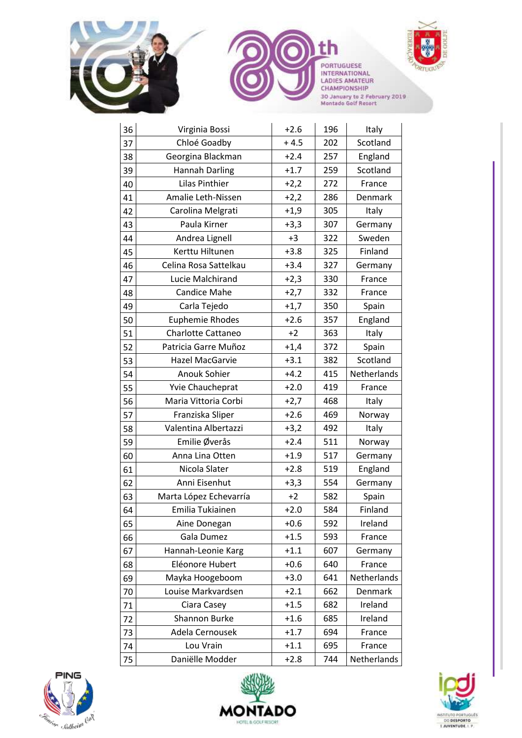



Virginia Bossi +2.6 196 Italy









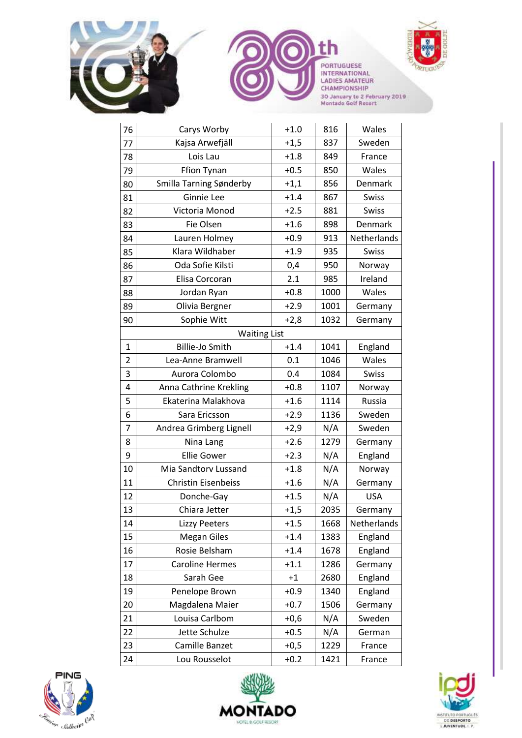







| 76                  | Carys Worby                | $+1.0$ | 816  | Wales       |  |  |
|---------------------|----------------------------|--------|------|-------------|--|--|
| 77                  | Kajsa Arwefjäll            | $+1,5$ | 837  | Sweden      |  |  |
| 78                  | Lois Lau                   | $+1.8$ | 849  | France      |  |  |
| 79                  | Ffion Tynan                | $+0.5$ | 850  | Wales       |  |  |
| 80                  | Smilla Tarning Sønderby    | $+1,1$ | 856  | Denmark     |  |  |
| 81                  | Ginnie Lee                 | $+1.4$ | 867  | Swiss       |  |  |
| 82                  | Victoria Monod             | $+2.5$ | 881  | Swiss       |  |  |
| 83                  | Fie Olsen                  | $+1.6$ | 898  | Denmark     |  |  |
| 84                  | Lauren Holmey              | $+0.9$ | 913  | Netherlands |  |  |
| 85                  | Klara Wildhaber            | $+1.9$ | 935  | Swiss       |  |  |
| 86                  | Oda Sofie Kilsti           | 0,4    | 950  | Norway      |  |  |
| 87                  | Elisa Corcoran             | 2.1    | 985  | Ireland     |  |  |
| 88                  | Jordan Ryan                | $+0.8$ | 1000 | Wales       |  |  |
| 89                  | Olivia Bergner             | $+2.9$ | 1001 | Germany     |  |  |
| 90                  | Sophie Witt                | $+2,8$ | 1032 | Germany     |  |  |
| <b>Waiting List</b> |                            |        |      |             |  |  |
| $\mathbf{1}$        | Billie-Jo Smith            | $+1.4$ | 1041 | England     |  |  |
| $\overline{2}$      | Lea-Anne Bramwell          | 0.1    | 1046 | Wales       |  |  |
| 3                   | Aurora Colombo             | 0.4    | 1084 | Swiss       |  |  |
| 4                   | Anna Cathrine Krekling     | $+0.8$ | 1107 | Norway      |  |  |
| 5                   | Ekaterina Malakhova        | $+1.6$ | 1114 | Russia      |  |  |
| 6                   | Sara Ericsson              | $+2.9$ | 1136 | Sweden      |  |  |
| 7                   | Andrea Grimberg Lignell    | $+2,9$ | N/A  | Sweden      |  |  |
| 8                   | Nina Lang                  | $+2.6$ | 1279 | Germany     |  |  |
| 9                   | <b>Ellie Gower</b>         | $+2.3$ | N/A  | England     |  |  |
| 10                  | Mia Sandtorv Lussand       | $+1.8$ | N/A  | Norway      |  |  |
| 11                  | <b>Christin Eisenbeiss</b> | $+1.6$ | N/A  | Germany     |  |  |
| 12                  | Donche-Gay                 | $+1.5$ | N/A  | <b>USA</b>  |  |  |
| 13                  | Chiara Jetter              | $+1,5$ | 2035 | Germany     |  |  |
| 14                  | <b>Lizzy Peeters</b>       | $+1.5$ | 1668 | Netherlands |  |  |
| 15                  | <b>Megan Giles</b>         | $+1.4$ | 1383 | England     |  |  |
| 16                  | Rosie Belsham              | $+1.4$ | 1678 | England     |  |  |
| 17                  | <b>Caroline Hermes</b>     | $+1.1$ | 1286 | Germany     |  |  |
| 18                  | Sarah Gee                  | $+1$   | 2680 | England     |  |  |
| 19                  | Penelope Brown             | $+0.9$ | 1340 | England     |  |  |
| 20                  | Magdalena Maier            | $+0.7$ | 1506 | Germany     |  |  |
| 21                  | Louisa Carlbom             | $+0,6$ | N/A  | Sweden      |  |  |
| 22                  | Jette Schulze              | $+0.5$ | N/A  | German      |  |  |
| 23                  | Camille Banzet             | $+0,5$ | 1229 | France      |  |  |
| 24                  | Lou Rousselot              | $+0.2$ | 1421 | France      |  |  |